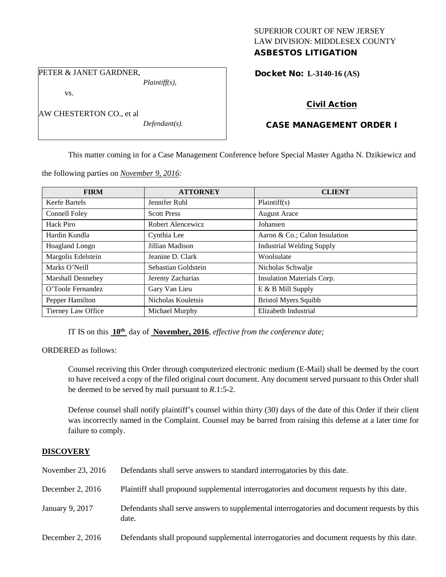## SUPERIOR COURT OF NEW JERSEY LAW DIVISION: MIDDLESEX COUNTY ASBESTOS LITIGATION

PETER & JANET GARDNER,

*Plaintiff(s),*

vs.

AW CHESTERTON CO., et al

*Defendant(s).*

Docket No: **L-3140-16 (AS)** 

# Civil Action

# CASE MANAGEMENT ORDER I

This matter coming in for a Case Management Conference before Special Master Agatha N. Dzikiewicz and

the following parties on *November 9, 2016:*

| <b>FIRM</b>              | <b>ATTORNEY</b>     | <b>CLIENT</b>                    |
|--------------------------|---------------------|----------------------------------|
| Keefe Bartels            | Jennifer Ruhl       | Plaintiff(s)                     |
| Connell Foley            | <b>Scott Press</b>  | <b>August Arace</b>              |
| Hack Piro                | Robert Alencewicz   | Johansen                         |
| Hardin Kundla            | Cynthia Lee         | Aaron & Co.; Calon Insulation    |
| Hoagland Longo           | Jillian Madison     | <b>Industrial Welding Supply</b> |
| Margolis Edelstein       | Jeanine D. Clark    | Woolsulate                       |
| Marks O'Neill            | Sebastian Goldstein | Nicholas Schwalje                |
| <b>Marshall Dennehey</b> | Jeremy Zacharias    | Insulation Materials Corp.       |
| O'Toole Fernandez        | Gary Van Lieu       | E & B Mill Supply                |
| Pepper Hamilton          | Nicholas Kouletsis  | <b>Bristol Myers Squibb</b>      |
| Tierney Law Office       | Michael Murphy      | Elizabeth Industrial             |

IT IS on this **10th** day of **November, 2016**, *effective from the conference date;*

ORDERED as follows:

Counsel receiving this Order through computerized electronic medium (E-Mail) shall be deemed by the court to have received a copy of the filed original court document. Any document served pursuant to this Order shall be deemed to be served by mail pursuant to *R*.1:5-2.

Defense counsel shall notify plaintiff's counsel within thirty (30) days of the date of this Order if their client was incorrectly named in the Complaint. Counsel may be barred from raising this defense at a later time for failure to comply.

## **DISCOVERY**

| November 23, 2016  | Defendants shall serve answers to standard interrogatories by this date.                              |
|--------------------|-------------------------------------------------------------------------------------------------------|
| December 2, $2016$ | Plaintiff shall propound supplemental interrogatories and document requests by this date.             |
| January 9, 2017    | Defendants shall serve answers to supplemental interrogatories and document requests by this<br>date. |
| December 2, $2016$ | Defendants shall propound supplemental interrogatories and document requests by this date.            |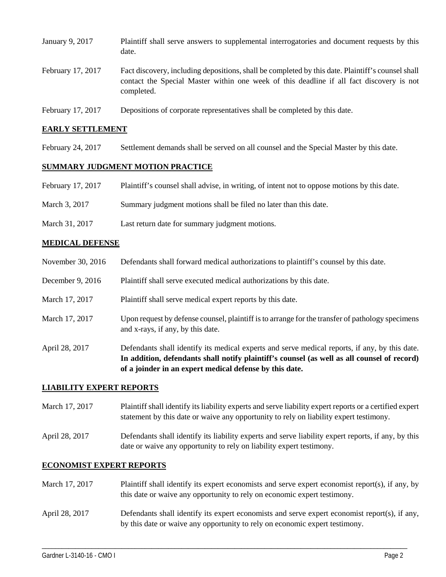| January 9, 2017   | Plaintiff shall serve answers to supplemental interrogatories and document requests by this<br>date.                                                                                                        |
|-------------------|-------------------------------------------------------------------------------------------------------------------------------------------------------------------------------------------------------------|
| February 17, 2017 | Fact discovery, including depositions, shall be completed by this date. Plaintiff's counsel shall<br>contact the Special Master within one week of this deadline if all fact discovery is not<br>completed. |
| February 17, 2017 | Depositions of corporate representatives shall be completed by this date.                                                                                                                                   |

### **EARLY SETTLEMENT**

February 24, 2017 Settlement demands shall be served on all counsel and the Special Master by this date.

#### **SUMMARY JUDGMENT MOTION PRACTICE**

- February 17, 2017 Plaintiff's counsel shall advise, in writing, of intent not to oppose motions by this date.
- March 3, 2017 Summary judgment motions shall be filed no later than this date.
- March 31, 2017 Last return date for summary judgment motions.

### **MEDICAL DEFENSE**

- November 30, 2016 Defendants shall forward medical authorizations to plaintiff's counsel by this date.
- December 9, 2016 Plaintiff shall serve executed medical authorizations by this date.
- March 17, 2017 Plaintiff shall serve medical expert reports by this date.
- March 17, 2017 Upon request by defense counsel, plaintiff is to arrange for the transfer of pathology specimens and x-rays, if any, by this date.
- April 28, 2017 Defendants shall identify its medical experts and serve medical reports, if any, by this date. **In addition, defendants shall notify plaintiff's counsel (as well as all counsel of record) of a joinder in an expert medical defense by this date.**

#### **LIABILITY EXPERT REPORTS**

- March 17, 2017 Plaintiff shall identify its liability experts and serve liability expert reports or a certified expert statement by this date or waive any opportunity to rely on liability expert testimony.
- April 28, 2017 Defendants shall identify its liability experts and serve liability expert reports, if any, by this date or waive any opportunity to rely on liability expert testimony.

## **ECONOMIST EXPERT REPORTS**

March 17, 2017 Plaintiff shall identify its expert economists and serve expert economist report(s), if any, by this date or waive any opportunity to rely on economic expert testimony. April 28, 2017 Defendants shall identify its expert economists and serve expert economist report(s), if any, by this date or waive any opportunity to rely on economic expert testimony.

\_\_\_\_\_\_\_\_\_\_\_\_\_\_\_\_\_\_\_\_\_\_\_\_\_\_\_\_\_\_\_\_\_\_\_\_\_\_\_\_\_\_\_\_\_\_\_\_\_\_\_\_\_\_\_\_\_\_\_\_\_\_\_\_\_\_\_\_\_\_\_\_\_\_\_\_\_\_\_\_\_\_\_\_\_\_\_\_\_\_\_\_\_\_\_\_\_\_\_\_\_\_\_\_\_\_\_\_\_\_